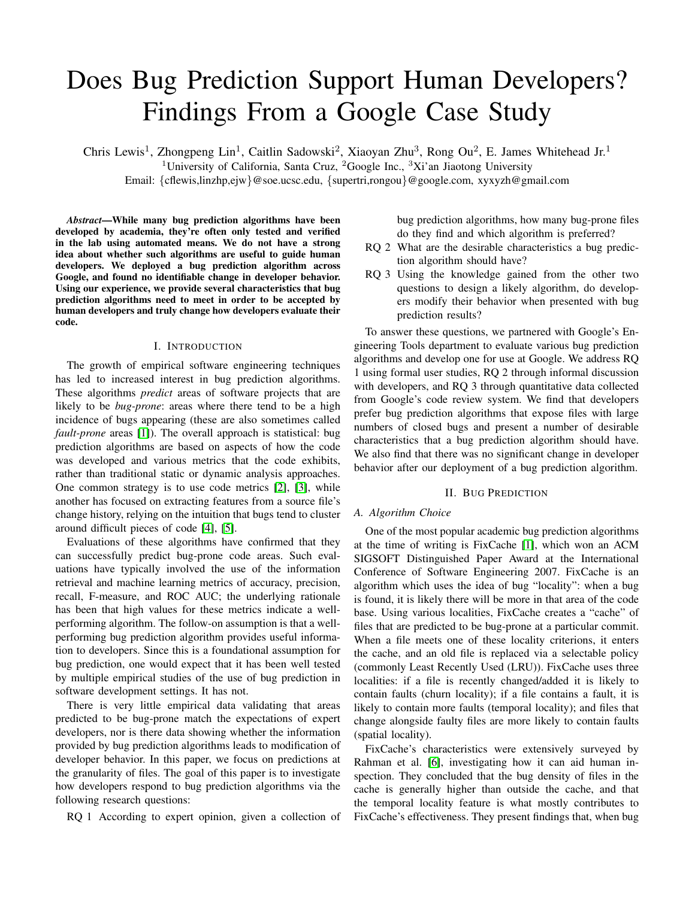# Does Bug Prediction Support Human Developers? Findings From a Google Case Study

Chris Lewis<sup>1</sup>, Zhongpeng Lin<sup>1</sup>, Caitlin Sadowski<sup>2</sup>, Xiaoyan Zhu<sup>3</sup>, Rong Ou<sup>2</sup>, E. James Whitehead Jr.<sup>1</sup>

<sup>1</sup>University of California, Santa Cruz, <sup>2</sup>Google Inc., <sup>3</sup>Xi'an Jiaotong University

Email: {cflewis,linzhp,ejw}@soe.ucsc.edu, {supertri,rongou}@google.com, xyxyzh@gmail.com

*Abstract*—While many bug prediction algorithms have been developed by academia, they're often only tested and verified in the lab using automated means. We do not have a strong idea about whether such algorithms are useful to guide human developers. We deployed a bug prediction algorithm across Google, and found no identifiable change in developer behavior. Using our experience, we provide several characteristics that bug prediction algorithms need to meet in order to be accepted by human developers and truly change how developers evaluate their code.

#### I. INTRODUCTION

The growth of empirical software engineering techniques has led to increased interest in bug prediction algorithms. These algorithms *predict* areas of software projects that are likely to be *bug-prone*: areas where there tend to be a high incidence of bugs appearing (these are also sometimes called *fault-prone* areas [\[1\]](#page-9-0)). The overall approach is statistical: bug prediction algorithms are based on aspects of how the code was developed and various metrics that the code exhibits, rather than traditional static or dynamic analysis approaches. One common strategy is to use code metrics [\[2\]](#page-9-1), [\[3\]](#page-9-2), while another has focused on extracting features from a source file's change history, relying on the intuition that bugs tend to cluster around difficult pieces of code [\[4\]](#page-9-3), [\[5\]](#page-9-4).

Evaluations of these algorithms have confirmed that they can successfully predict bug-prone code areas. Such evaluations have typically involved the use of the information retrieval and machine learning metrics of accuracy, precision, recall, F-measure, and ROC AUC; the underlying rationale has been that high values for these metrics indicate a wellperforming algorithm. The follow-on assumption is that a wellperforming bug prediction algorithm provides useful information to developers. Since this is a foundational assumption for bug prediction, one would expect that it has been well tested by multiple empirical studies of the use of bug prediction in software development settings. It has not.

There is very little empirical data validating that areas predicted to be bug-prone match the expectations of expert developers, nor is there data showing whether the information provided by bug prediction algorithms leads to modification of developer behavior. In this paper, we focus on predictions at the granularity of files. The goal of this paper is to investigate how developers respond to bug prediction algorithms via the following research questions:

RQ 1 According to expert opinion, given a collection of

bug prediction algorithms, how many bug-prone files do they find and which algorithm is preferred?

- RQ 2 What are the desirable characteristics a bug prediction algorithm should have?
- RQ 3 Using the knowledge gained from the other two questions to design a likely algorithm, do developers modify their behavior when presented with bug prediction results?

To answer these questions, we partnered with Google's Engineering Tools department to evaluate various bug prediction algorithms and develop one for use at Google. We address RQ 1 using formal user studies, RQ 2 through informal discussion with developers, and RQ 3 through quantitative data collected from Google's code review system. We find that developers prefer bug prediction algorithms that expose files with large numbers of closed bugs and present a number of desirable characteristics that a bug prediction algorithm should have. We also find that there was no significant change in developer behavior after our deployment of a bug prediction algorithm.

### II. BUG PREDICTION

# *A. Algorithm Choice*

One of the most popular academic bug prediction algorithms at the time of writing is FixCache [\[1\]](#page-9-0), which won an ACM SIGSOFT Distinguished Paper Award at the International Conference of Software Engineering 2007. FixCache is an algorithm which uses the idea of bug "locality": when a bug is found, it is likely there will be more in that area of the code base. Using various localities, FixCache creates a "cache" of files that are predicted to be bug-prone at a particular commit. When a file meets one of these locality criterions, it enters the cache, and an old file is replaced via a selectable policy (commonly Least Recently Used (LRU)). FixCache uses three localities: if a file is recently changed/added it is likely to contain faults (churn locality); if a file contains a fault, it is likely to contain more faults (temporal locality); and files that change alongside faulty files are more likely to contain faults (spatial locality).

FixCache's characteristics were extensively surveyed by Rahman et al. [\[6\]](#page-9-5), investigating how it can aid human inspection. They concluded that the bug density of files in the cache is generally higher than outside the cache, and that the temporal locality feature is what mostly contributes to FixCache's effectiveness. They present findings that, when bug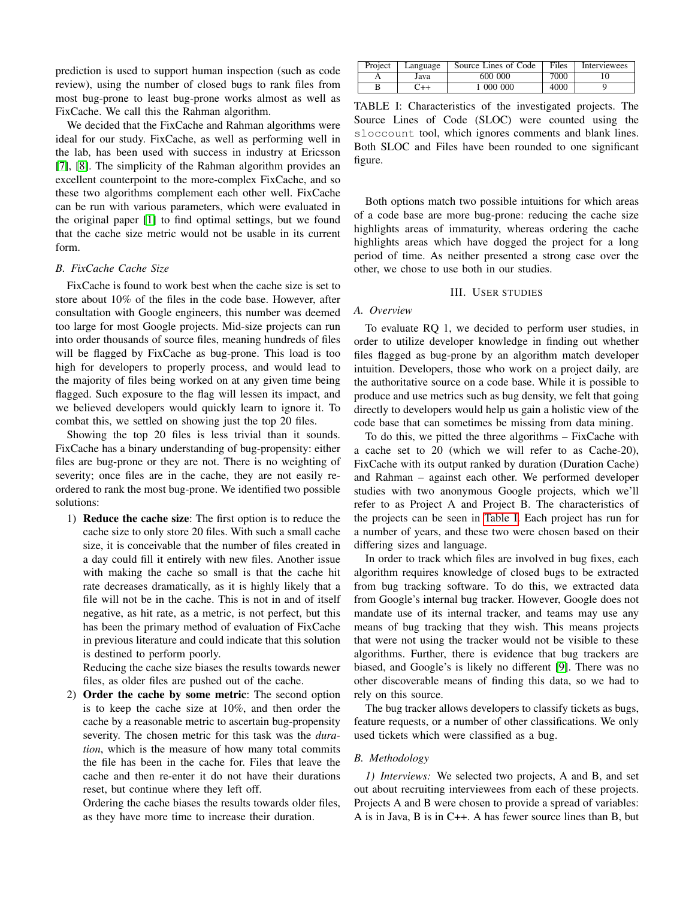prediction is used to support human inspection (such as code review), using the number of closed bugs to rank files from most bug-prone to least bug-prone works almost as well as FixCache. We call this the Rahman algorithm.

We decided that the FixCache and Rahman algorithms were ideal for our study. FixCache, as well as performing well in the lab, has been used with success in industry at Ericsson [\[7\]](#page-9-6), [\[8\]](#page-9-7). The simplicity of the Rahman algorithm provides an excellent counterpoint to the more-complex FixCache, and so these two algorithms complement each other well. FixCache can be run with various parameters, which were evaluated in the original paper [\[1\]](#page-9-0) to find optimal settings, but we found that the cache size metric would not be usable in its current form.

#### *B. FixCache Cache Size*

FixCache is found to work best when the cache size is set to store about 10% of the files in the code base. However, after consultation with Google engineers, this number was deemed too large for most Google projects. Mid-size projects can run into order thousands of source files, meaning hundreds of files will be flagged by FixCache as bug-prone. This load is too high for developers to properly process, and would lead to the majority of files being worked on at any given time being flagged. Such exposure to the flag will lessen its impact, and we believed developers would quickly learn to ignore it. To combat this, we settled on showing just the top 20 files.

Showing the top 20 files is less trivial than it sounds. FixCache has a binary understanding of bug-propensity: either files are bug-prone or they are not. There is no weighting of severity; once files are in the cache, they are not easily reordered to rank the most bug-prone. We identified two possible solutions:

1) Reduce the cache size: The first option is to reduce the cache size to only store 20 files. With such a small cache size, it is conceivable that the number of files created in a day could fill it entirely with new files. Another issue with making the cache so small is that the cache hit rate decreases dramatically, as it is highly likely that a file will not be in the cache. This is not in and of itself negative, as hit rate, as a metric, is not perfect, but this has been the primary method of evaluation of FixCache in previous literature and could indicate that this solution is destined to perform poorly.

Reducing the cache size biases the results towards newer files, as older files are pushed out of the cache.

2) Order the cache by some metric: The second option is to keep the cache size at 10%, and then order the cache by a reasonable metric to ascertain bug-propensity severity. The chosen metric for this task was the *duration*, which is the measure of how many total commits the file has been in the cache for. Files that leave the cache and then re-enter it do not have their durations reset, but continue where they left off.

Ordering the cache biases the results towards older files, as they have more time to increase their duration.

<span id="page-1-0"></span>

| Project | Language | Source Lines of Code | Files | Interviewees |
|---------|----------|----------------------|-------|--------------|
|         | Java     | 600 000              | 7000  |              |
|         |          | 000 000              | 4000  |              |

TABLE I: Characteristics of the investigated projects. The Source Lines of Code (SLOC) were counted using the sloccount tool, which ignores comments and blank lines. Both SLOC and Files have been rounded to one significant figure.

Both options match two possible intuitions for which areas of a code base are more bug-prone: reducing the cache size highlights areas of immaturity, whereas ordering the cache highlights areas which have dogged the project for a long period of time. As neither presented a strong case over the other, we chose to use both in our studies.

# III. USER STUDIES

## *A. Overview*

To evaluate RQ 1, we decided to perform user studies, in order to utilize developer knowledge in finding out whether files flagged as bug-prone by an algorithm match developer intuition. Developers, those who work on a project daily, are the authoritative source on a code base. While it is possible to produce and use metrics such as bug density, we felt that going directly to developers would help us gain a holistic view of the code base that can sometimes be missing from data mining.

To do this, we pitted the three algorithms – FixCache with a cache set to 20 (which we will refer to as Cache-20), FixCache with its output ranked by duration (Duration Cache) and Rahman – against each other. We performed developer studies with two anonymous Google projects, which we'll refer to as Project A and Project B. The characteristics of the projects can be seen in [Table I.](#page-1-0) Each project has run for a number of years, and these two were chosen based on their differing sizes and language.

In order to track which files are involved in bug fixes, each algorithm requires knowledge of closed bugs to be extracted from bug tracking software. To do this, we extracted data from Google's internal bug tracker. However, Google does not mandate use of its internal tracker, and teams may use any means of bug tracking that they wish. This means projects that were not using the tracker would not be visible to these algorithms. Further, there is evidence that bug trackers are biased, and Google's is likely no different [\[9\]](#page-9-8). There was no other discoverable means of finding this data, so we had to rely on this source.

The bug tracker allows developers to classify tickets as bugs, feature requests, or a number of other classifications. We only used tickets which were classified as a bug.

### *B. Methodology*

*1) Interviews:* We selected two projects, A and B, and set out about recruiting interviewees from each of these projects. Projects A and B were chosen to provide a spread of variables: A is in Java, B is in C++. A has fewer source lines than B, but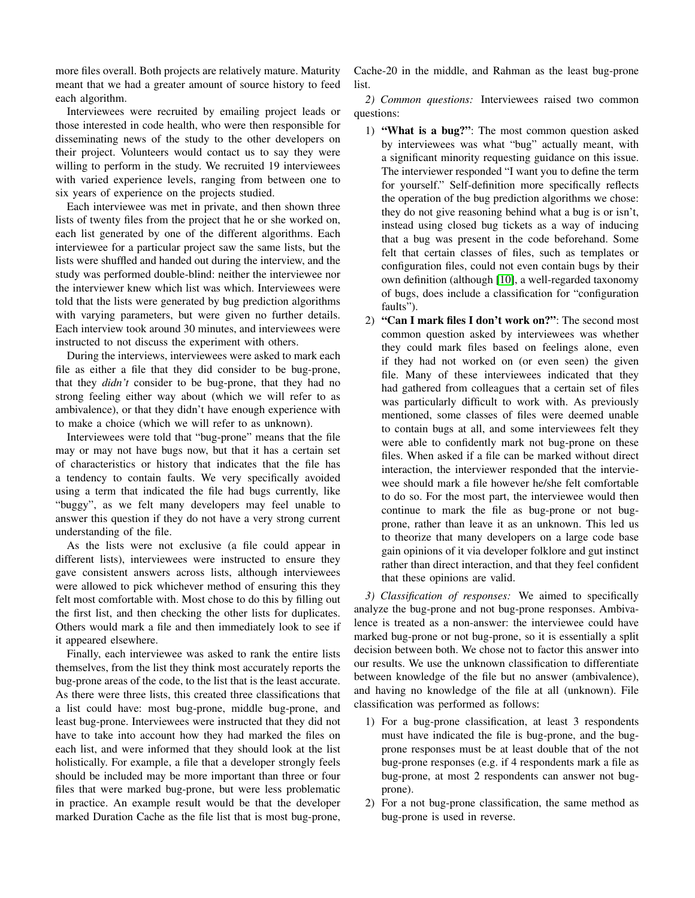more files overall. Both projects are relatively mature. Maturity meant that we had a greater amount of source history to feed each algorithm.

Interviewees were recruited by emailing project leads or those interested in code health, who were then responsible for disseminating news of the study to the other developers on their project. Volunteers would contact us to say they were willing to perform in the study. We recruited 19 interviewees with varied experience levels, ranging from between one to six years of experience on the projects studied.

Each interviewee was met in private, and then shown three lists of twenty files from the project that he or she worked on, each list generated by one of the different algorithms. Each interviewee for a particular project saw the same lists, but the lists were shuffled and handed out during the interview, and the study was performed double-blind: neither the interviewee nor the interviewer knew which list was which. Interviewees were told that the lists were generated by bug prediction algorithms with varying parameters, but were given no further details. Each interview took around 30 minutes, and interviewees were instructed to not discuss the experiment with others.

During the interviews, interviewees were asked to mark each file as either a file that they did consider to be bug-prone, that they *didn't* consider to be bug-prone, that they had no strong feeling either way about (which we will refer to as ambivalence), or that they didn't have enough experience with to make a choice (which we will refer to as unknown).

Interviewees were told that "bug-prone" means that the file may or may not have bugs now, but that it has a certain set of characteristics or history that indicates that the file has a tendency to contain faults. We very specifically avoided using a term that indicated the file had bugs currently, like "buggy", as we felt many developers may feel unable to answer this question if they do not have a very strong current understanding of the file.

As the lists were not exclusive (a file could appear in different lists), interviewees were instructed to ensure they gave consistent answers across lists, although interviewees were allowed to pick whichever method of ensuring this they felt most comfortable with. Most chose to do this by filling out the first list, and then checking the other lists for duplicates. Others would mark a file and then immediately look to see if it appeared elsewhere.

Finally, each interviewee was asked to rank the entire lists themselves, from the list they think most accurately reports the bug-prone areas of the code, to the list that is the least accurate. As there were three lists, this created three classifications that a list could have: most bug-prone, middle bug-prone, and least bug-prone. Interviewees were instructed that they did not have to take into account how they had marked the files on each list, and were informed that they should look at the list holistically. For example, a file that a developer strongly feels should be included may be more important than three or four files that were marked bug-prone, but were less problematic in practice. An example result would be that the developer marked Duration Cache as the file list that is most bug-prone,

Cache-20 in the middle, and Rahman as the least bug-prone list.

*2) Common questions:* Interviewees raised two common questions:

- 1) "What is a bug?": The most common question asked by interviewees was what "bug" actually meant, with a significant minority requesting guidance on this issue. The interviewer responded "I want you to define the term for yourself." Self-definition more specifically reflects the operation of the bug prediction algorithms we chose: they do not give reasoning behind what a bug is or isn't, instead using closed bug tickets as a way of inducing that a bug was present in the code beforehand. Some felt that certain classes of files, such as templates or configuration files, could not even contain bugs by their own definition (although [\[10\]](#page-9-9), a well-regarded taxonomy of bugs, does include a classification for "configuration faults").
- 2) "Can I mark files I don't work on?": The second most common question asked by interviewees was whether they could mark files based on feelings alone, even if they had not worked on (or even seen) the given file. Many of these interviewees indicated that they had gathered from colleagues that a certain set of files was particularly difficult to work with. As previously mentioned, some classes of files were deemed unable to contain bugs at all, and some interviewees felt they were able to confidently mark not bug-prone on these files. When asked if a file can be marked without direct interaction, the interviewer responded that the interviewee should mark a file however he/she felt comfortable to do so. For the most part, the interviewee would then continue to mark the file as bug-prone or not bugprone, rather than leave it as an unknown. This led us to theorize that many developers on a large code base gain opinions of it via developer folklore and gut instinct rather than direct interaction, and that they feel confident that these opinions are valid.

*3) Classification of responses:* We aimed to specifically analyze the bug-prone and not bug-prone responses. Ambivalence is treated as a non-answer: the interviewee could have marked bug-prone or not bug-prone, so it is essentially a split decision between both. We chose not to factor this answer into our results. We use the unknown classification to differentiate between knowledge of the file but no answer (ambivalence), and having no knowledge of the file at all (unknown). File classification was performed as follows:

- 1) For a bug-prone classification, at least 3 respondents must have indicated the file is bug-prone, and the bugprone responses must be at least double that of the not bug-prone responses (e.g. if 4 respondents mark a file as bug-prone, at most 2 respondents can answer not bugprone).
- 2) For a not bug-prone classification, the same method as bug-prone is used in reverse.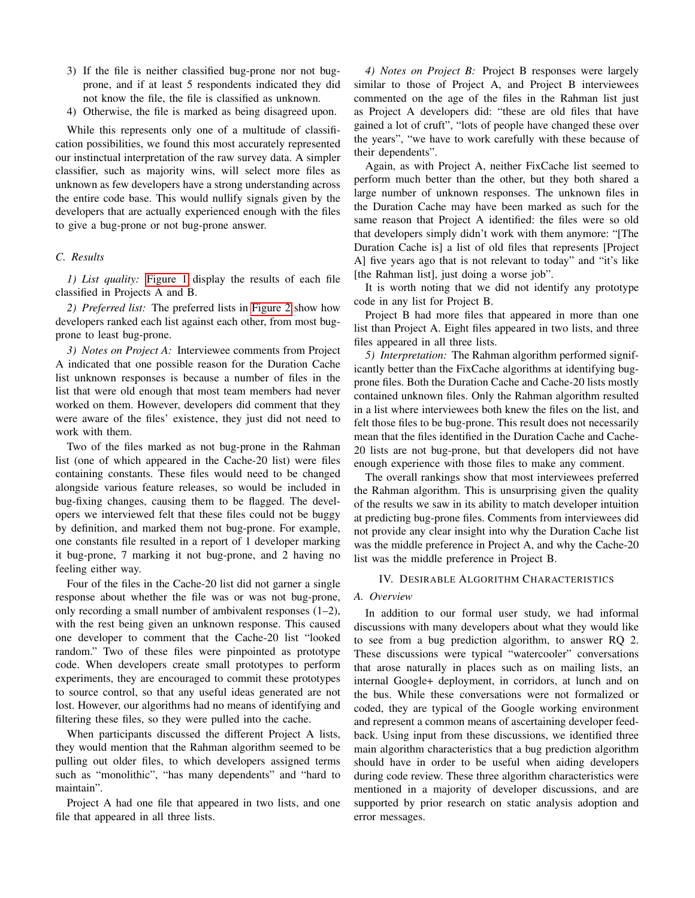- 3) If the file is neither classified bug-prone nor not bugprone, and if at least 5 respondents indicated they did not know the file, the file is classified as unknown.
- 4) Otherwise, the file is marked as being disagreed upon.

While this represents only one of a multitude of classification possibilities, we found this most accurately represented our instinctual interpretation of the raw survey data. A simpler classifier, such as majority wins, will select more files as unknown as few developers have a strong understanding across the entire code base. This would nullify signals given by the developers that are actually experienced enough with the files to give a bug-prone or not bug-prone answer.

# *C. Results*

*1) List quality:* [Figure 1](#page-4-0) display the results of each file classified in Projects A and B.

*2) Preferred list:* The preferred lists in [Figure 2](#page-4-1) show how developers ranked each list against each other, from most bugprone to least bug-prone.

*3) Notes on Project A:* Interviewee comments from Project A indicated that one possible reason for the Duration Cache list unknown responses is because a number of files in the list that were old enough that most team members had never worked on them. However, developers did comment that they were aware of the files' existence, they just did not need to work with them.

Two of the files marked as not bug-prone in the Rahman list (one of which appeared in the Cache-20 list) were files containing constants. These files would need to be changed alongside various feature releases, so would be included in bug-fixing changes, causing them to be flagged. The developers we interviewed felt that these files could not be buggy by definition, and marked them not bug-prone. For example, one constants file resulted in a report of 1 developer marking it bug-prone, 7 marking it not bug-prone, and 2 having no feeling either way.

Four of the files in the Cache-20 list did not garner a single response about whether the file was or was not bug-prone, only recording a small number of ambivalent responses (1–2), with the rest being given an unknown response. This caused one developer to comment that the Cache-20 list "looked random." Two of these files were pinpointed as prototype code. When developers create small prototypes to perform experiments, they are encouraged to commit these prototypes to source control, so that any useful ideas generated are not lost. However, our algorithms had no means of identifying and filtering these files, so they were pulled into the cache.

When participants discussed the different Project A lists, they would mention that the Rahman algorithm seemed to be pulling out older files, to which developers assigned terms such as "monolithic", "has many dependents" and "hard to maintain".

Project A had one file that appeared in two lists, and one file that appeared in all three lists.

*4) Notes on Project B:* Project B responses were largely similar to those of Project A, and Project B interviewees commented on the age of the files in the Rahman list just as Project A developers did: "these are old files that have gained a lot of cruft", "lots of people have changed these over the years", "we have to work carefully with these because of their dependents".

Again, as with Project A, neither FixCache list seemed to perform much better than the other, but they both shared a large number of unknown responses. The unknown files in the Duration Cache may have been marked as such for the same reason that Project A identified: the files were so old that developers simply didn't work with them anymore: "[The Duration Cache is] a list of old files that represents [Project A] five years ago that is not relevant to today" and "it's like [the Rahman list], just doing a worse job".

It is worth noting that we did not identify any prototype code in any list for Project B.

Project B had more files that appeared in more than one list than Project A. Eight files appeared in two lists, and three files appeared in all three lists.

*5) Interpretation:* The Rahman algorithm performed significantly better than the FixCache algorithms at identifying bugprone files. Both the Duration Cache and Cache-20 lists mostly contained unknown files. Only the Rahman algorithm resulted in a list where interviewees both knew the files on the list, and felt those files to be bug-prone. This result does not necessarily mean that the files identified in the Duration Cache and Cache-20 lists are not bug-prone, but that developers did not have enough experience with those files to make any comment.

The overall rankings show that most interviewees preferred the Rahman algorithm. This is unsurprising given the quality of the results we saw in its ability to match developer intuition at predicting bug-prone files. Comments from interviewees did not provide any clear insight into why the Duration Cache list was the middle preference in Project A, and why the Cache-20 list was the middle preference in Project B.

## IV. DESIRABLE ALGORITHM CHARACTERISTICS

# *A. Overview*

In addition to our formal user study, we had informal discussions with many developers about what they would like to see from a bug prediction algorithm, to answer RQ 2. These discussions were typical "watercooler" conversations that arose naturally in places such as on mailing lists, an internal Google+ deployment, in corridors, at lunch and on the bus. While these conversations were not formalized or coded, they are typical of the Google working environment and represent a common means of ascertaining developer feedback. Using input from these discussions, we identified three main algorithm characteristics that a bug prediction algorithm should have in order to be useful when aiding developers during code review. These three algorithm characteristics were mentioned in a majority of developer discussions, and are supported by prior research on static analysis adoption and error messages.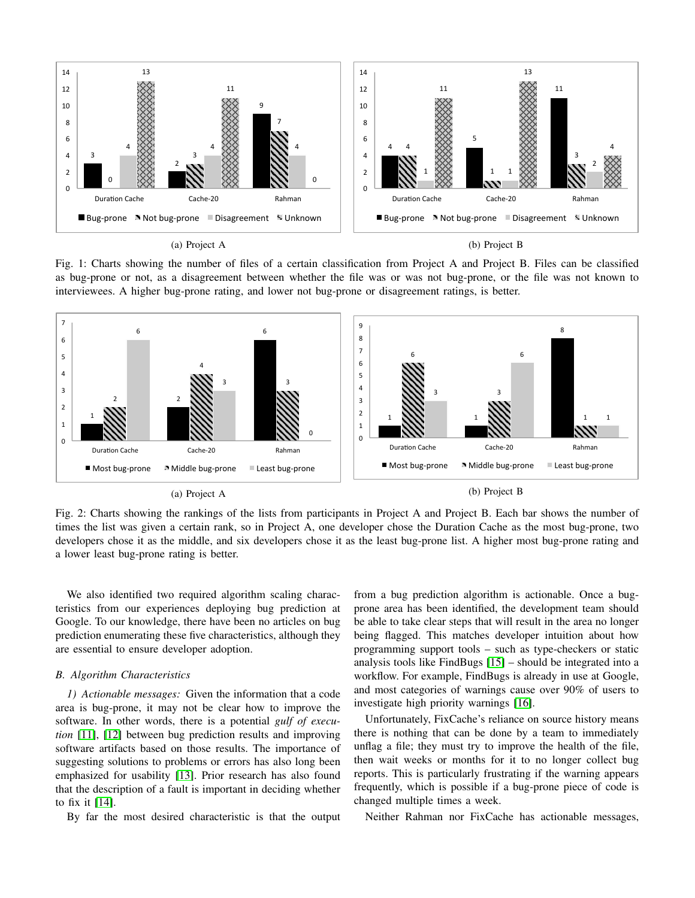<span id="page-4-0"></span>



(b) Project B

Fig. 1: Charts showing the number of files of a certain classification from Project A and Project B. Files can be classified as bug-prone or not, as a disagreement between whether the file was or was not bug-prone, or the file was not known to interviewees. A higher bug-prone rating, and lower not bug-prone or disagreement ratings, is better.

<span id="page-4-1"></span>

Fig. 2: Charts showing the rankings of the lists from participants in Project A and Project B. Each bar shows the number of times the list was given a certain rank, so in Project A, one developer chose the Duration Cache as the most bug-prone, two developers chose it as the middle, and six developers chose it as the least bug-prone list. A higher most bug-prone rating and a lower least bug-prone rating is better.

We also identified two required algorithm scaling characteristics from our experiences deploying bug prediction at Google. To our knowledge, there have been no articles on bug prediction enumerating these five characteristics, although they are essential to ensure developer adoption.

#### *B. Algorithm Characteristics*

*1) Actionable messages:* Given the information that a code area is bug-prone, it may not be clear how to improve the software. In other words, there is a potential *gulf of execution* [\[11\]](#page-9-10), [\[12\]](#page-9-11) between bug prediction results and improving software artifacts based on those results. The importance of suggesting solutions to problems or errors has also long been emphasized for usability [\[13\]](#page-9-12). Prior research has also found that the description of a fault is important in deciding whether to fix it [\[14\]](#page-9-13).

By far the most desired characteristic is that the output

from a bug prediction algorithm is actionable. Once a bugprone area has been identified, the development team should be able to take clear steps that will result in the area no longer being flagged. This matches developer intuition about how programming support tools – such as type-checkers or static analysis tools like FindBugs [\[15\]](#page-9-14) – should be integrated into a workflow. For example, FindBugs is already in use at Google, and most categories of warnings cause over 90% of users to investigate high priority warnings [\[16\]](#page-9-15).

Unfortunately, FixCache's reliance on source history means there is nothing that can be done by a team to immediately unflag a file; they must try to improve the health of the file, then wait weeks or months for it to no longer collect bug reports. This is particularly frustrating if the warning appears frequently, which is possible if a bug-prone piece of code is changed multiple times a week.

Neither Rahman nor FixCache has actionable messages,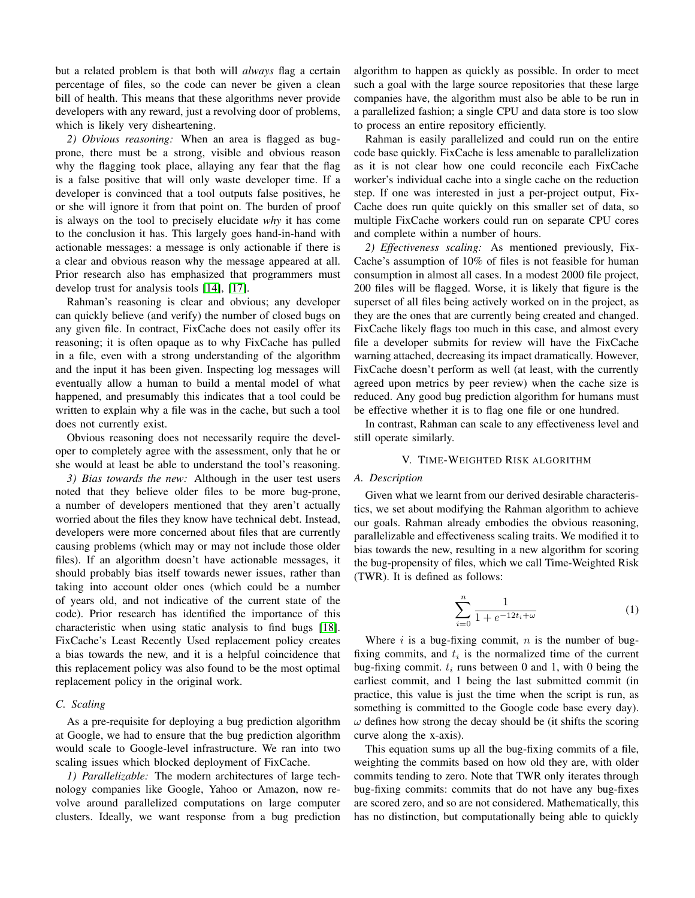but a related problem is that both will *always* flag a certain percentage of files, so the code can never be given a clean bill of health. This means that these algorithms never provide developers with any reward, just a revolving door of problems, which is likely very disheartening.

*2) Obvious reasoning:* When an area is flagged as bugprone, there must be a strong, visible and obvious reason why the flagging took place, allaying any fear that the flag is a false positive that will only waste developer time. If a developer is convinced that a tool outputs false positives, he or she will ignore it from that point on. The burden of proof is always on the tool to precisely elucidate *why* it has come to the conclusion it has. This largely goes hand-in-hand with actionable messages: a message is only actionable if there is a clear and obvious reason why the message appeared at all. Prior research also has emphasized that programmers must develop trust for analysis tools [\[14\]](#page-9-13), [\[17\]](#page-9-16).

Rahman's reasoning is clear and obvious; any developer can quickly believe (and verify) the number of closed bugs on any given file. In contract, FixCache does not easily offer its reasoning; it is often opaque as to why FixCache has pulled in a file, even with a strong understanding of the algorithm and the input it has been given. Inspecting log messages will eventually allow a human to build a mental model of what happened, and presumably this indicates that a tool could be written to explain why a file was in the cache, but such a tool does not currently exist.

Obvious reasoning does not necessarily require the developer to completely agree with the assessment, only that he or she would at least be able to understand the tool's reasoning.

*3) Bias towards the new:* Although in the user test users noted that they believe older files to be more bug-prone, a number of developers mentioned that they aren't actually worried about the files they know have technical debt. Instead, developers were more concerned about files that are currently causing problems (which may or may not include those older files). If an algorithm doesn't have actionable messages, it should probably bias itself towards newer issues, rather than taking into account older ones (which could be a number of years old, and not indicative of the current state of the code). Prior research has identified the importance of this characteristic when using static analysis to find bugs [\[18\]](#page-9-17). FixCache's Least Recently Used replacement policy creates a bias towards the new, and it is a helpful coincidence that this replacement policy was also found to be the most optimal replacement policy in the original work.

## *C. Scaling*

As a pre-requisite for deploying a bug prediction algorithm at Google, we had to ensure that the bug prediction algorithm would scale to Google-level infrastructure. We ran into two scaling issues which blocked deployment of FixCache.

*1) Parallelizable:* The modern architectures of large technology companies like Google, Yahoo or Amazon, now revolve around parallelized computations on large computer clusters. Ideally, we want response from a bug prediction algorithm to happen as quickly as possible. In order to meet such a goal with the large source repositories that these large companies have, the algorithm must also be able to be run in a parallelized fashion; a single CPU and data store is too slow to process an entire repository efficiently.

Rahman is easily parallelized and could run on the entire code base quickly. FixCache is less amenable to parallelization as it is not clear how one could reconcile each FixCache worker's individual cache into a single cache on the reduction step. If one was interested in just a per-project output, Fix-Cache does run quite quickly on this smaller set of data, so multiple FixCache workers could run on separate CPU cores and complete within a number of hours.

*2) Effectiveness scaling:* As mentioned previously, Fix-Cache's assumption of 10% of files is not feasible for human consumption in almost all cases. In a modest 2000 file project, 200 files will be flagged. Worse, it is likely that figure is the superset of all files being actively worked on in the project, as they are the ones that are currently being created and changed. FixCache likely flags too much in this case, and almost every file a developer submits for review will have the FixCache warning attached, decreasing its impact dramatically. However, FixCache doesn't perform as well (at least, with the currently agreed upon metrics by peer review) when the cache size is reduced. Any good bug prediction algorithm for humans must be effective whether it is to flag one file or one hundred.

In contrast, Rahman can scale to any effectiveness level and still operate similarly.

## V. TIME-WEIGHTED RISK ALGORITHM

#### *A. Description*

Given what we learnt from our derived desirable characteristics, we set about modifying the Rahman algorithm to achieve our goals. Rahman already embodies the obvious reasoning, parallelizable and effectiveness scaling traits. We modified it to bias towards the new, resulting in a new algorithm for scoring the bug-propensity of files, which we call Time-Weighted Risk (TWR). It is defined as follows:

$$
\sum_{i=0}^{n} \frac{1}{1 + e^{-12t_i + \omega}}
$$
 (1)

Where i is a bug-fixing commit, n is the number of bugfixing commits, and  $t_i$  is the normalized time of the current bug-fixing commit.  $t_i$  runs between 0 and 1, with 0 being the earliest commit, and 1 being the last submitted commit (in practice, this value is just the time when the script is run, as something is committed to the Google code base every day).  $\omega$  defines how strong the decay should be (it shifts the scoring curve along the x-axis).

This equation sums up all the bug-fixing commits of a file, weighting the commits based on how old they are, with older commits tending to zero. Note that TWR only iterates through bug-fixing commits: commits that do not have any bug-fixes are scored zero, and so are not considered. Mathematically, this has no distinction, but computationally being able to quickly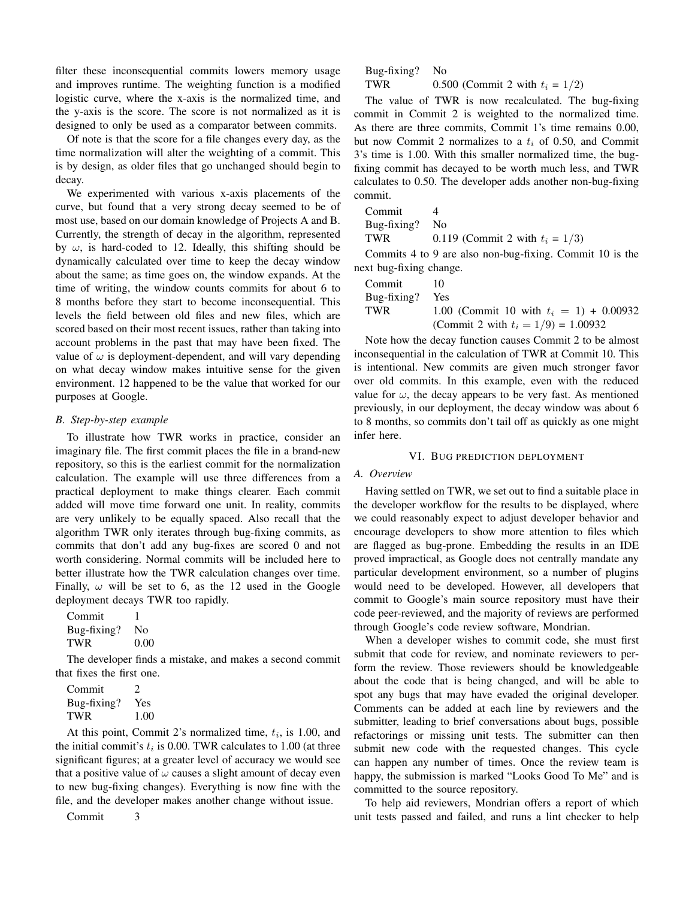filter these inconsequential commits lowers memory usage and improves runtime. The weighting function is a modified logistic curve, where the x-axis is the normalized time, and the y-axis is the score. The score is not normalized as it is designed to only be used as a comparator between commits.

Of note is that the score for a file changes every day, as the time normalization will alter the weighting of a commit. This is by design, as older files that go unchanged should begin to decay.

We experimented with various x-axis placements of the curve, but found that a very strong decay seemed to be of most use, based on our domain knowledge of Projects A and B. Currently, the strength of decay in the algorithm, represented by  $\omega$ , is hard-coded to 12. Ideally, this shifting should be dynamically calculated over time to keep the decay window about the same; as time goes on, the window expands. At the time of writing, the window counts commits for about 6 to 8 months before they start to become inconsequential. This levels the field between old files and new files, which are scored based on their most recent issues, rather than taking into account problems in the past that may have been fixed. The value of  $\omega$  is deployment-dependent, and will vary depending on what decay window makes intuitive sense for the given environment. 12 happened to be the value that worked for our purposes at Google.

#### *B. Step-by-step example*

To illustrate how TWR works in practice, consider an imaginary file. The first commit places the file in a brand-new repository, so this is the earliest commit for the normalization calculation. The example will use three differences from a practical deployment to make things clearer. Each commit added will move time forward one unit. In reality, commits are very unlikely to be equally spaced. Also recall that the algorithm TWR only iterates through bug-fixing commits, as commits that don't add any bug-fixes are scored 0 and not worth considering. Normal commits will be included here to better illustrate how the TWR calculation changes over time. Finally,  $\omega$  will be set to 6, as the 12 used in the Google deployment decays TWR too rapidly.

Commit 1 Bug-fixing? No TWR 0.00

The developer finds a mistake, and makes a second commit that fixes the first one.

Commit 2 Bug-fixing? Yes TWR 1.00

At this point, Commit 2's normalized time,  $t_i$ , is 1.00, and the initial commit's  $t_i$  is 0.00. TWR calculates to 1.00 (at three significant figures; at a greater level of accuracy we would see that a positive value of  $\omega$  causes a slight amount of decay even to new bug-fixing changes). Everything is now fine with the file, and the developer makes another change without issue.

Commit 3

Bug-fixing? No

TWR 0.500 (Commit 2 with  $t_i = 1/2$ )

The value of TWR is now recalculated. The bug-fixing commit in Commit 2 is weighted to the normalized time. As there are three commits, Commit 1's time remains 0.00, but now Commit 2 normalizes to a  $t_i$  of 0.50, and Commit 3's time is 1.00. With this smaller normalized time, the bugfixing commit has decayed to be worth much less, and TWR calculates to 0.50. The developer adds another non-bug-fixing commit.

Commit 4 Bug-fixing? No

TWR 0.119 (Commit 2 with  $t_i = 1/3$ )

Commits 4 to 9 are also non-bug-fixing. Commit 10 is the next bug-fixing change.

| Commit        |                                            |
|---------------|--------------------------------------------|
| $Big-fixing?$ | Yes                                        |
| TWR           | 1.00 (Commit 10 with $t_i = 1$ ) + 0.00932 |
|               | (Commit 2 with $t_i = 1/9$ ) = 1.00932     |

Note how the decay function causes Commit 2 to be almost inconsequential in the calculation of TWR at Commit 10. This is intentional. New commits are given much stronger favor over old commits. In this example, even with the reduced value for  $\omega$ , the decay appears to be very fast. As mentioned previously, in our deployment, the decay window was about 6 to 8 months, so commits don't tail off as quickly as one might infer here.

#### VI. BUG PREDICTION DEPLOYMENT

# *A. Overview*

Having settled on TWR, we set out to find a suitable place in the developer workflow for the results to be displayed, where we could reasonably expect to adjust developer behavior and encourage developers to show more attention to files which are flagged as bug-prone. Embedding the results in an IDE proved impractical, as Google does not centrally mandate any particular development environment, so a number of plugins would need to be developed. However, all developers that commit to Google's main source repository must have their code peer-reviewed, and the majority of reviews are performed through Google's code review software, Mondrian.

When a developer wishes to commit code, she must first submit that code for review, and nominate reviewers to perform the review. Those reviewers should be knowledgeable about the code that is being changed, and will be able to spot any bugs that may have evaded the original developer. Comments can be added at each line by reviewers and the submitter, leading to brief conversations about bugs, possible refactorings or missing unit tests. The submitter can then submit new code with the requested changes. This cycle can happen any number of times. Once the review team is happy, the submission is marked "Looks Good To Me" and is committed to the source repository.

To help aid reviewers, Mondrian offers a report of which unit tests passed and failed, and runs a lint checker to help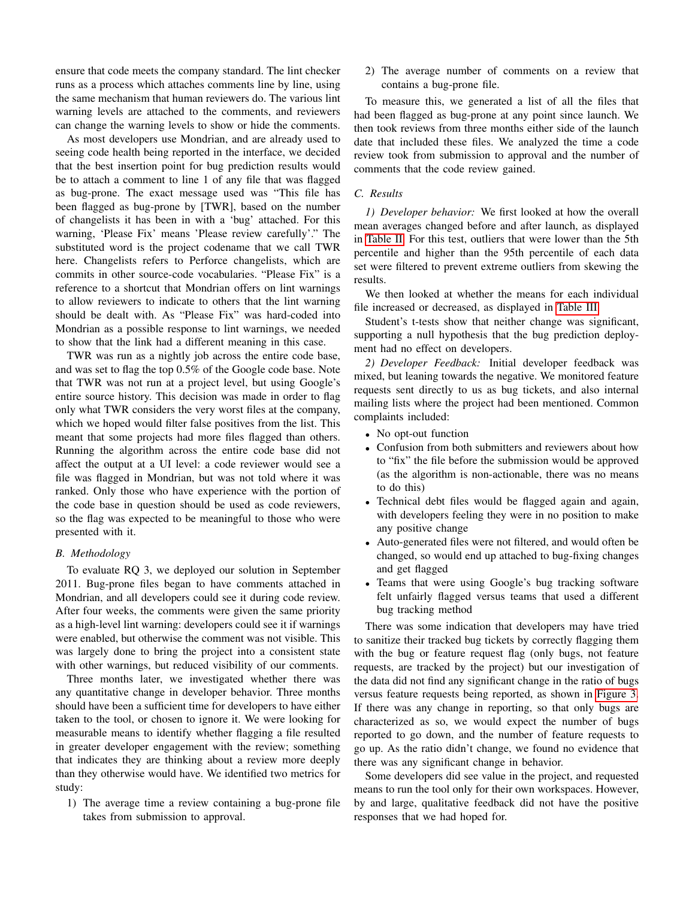ensure that code meets the company standard. The lint checker runs as a process which attaches comments line by line, using the same mechanism that human reviewers do. The various lint warning levels are attached to the comments, and reviewers can change the warning levels to show or hide the comments.

As most developers use Mondrian, and are already used to seeing code health being reported in the interface, we decided that the best insertion point for bug prediction results would be to attach a comment to line 1 of any file that was flagged as bug-prone. The exact message used was "This file has been flagged as bug-prone by [TWR], based on the number of changelists it has been in with a 'bug' attached. For this warning, 'Please Fix' means 'Please review carefully'." The substituted word is the project codename that we call TWR here. Changelists refers to Perforce changelists, which are commits in other source-code vocabularies. "Please Fix" is a reference to a shortcut that Mondrian offers on lint warnings to allow reviewers to indicate to others that the lint warning should be dealt with. As "Please Fix" was hard-coded into Mondrian as a possible response to lint warnings, we needed to show that the link had a different meaning in this case.

TWR was run as a nightly job across the entire code base, and was set to flag the top 0.5% of the Google code base. Note that TWR was not run at a project level, but using Google's entire source history. This decision was made in order to flag only what TWR considers the very worst files at the company, which we hoped would filter false positives from the list. This meant that some projects had more files flagged than others. Running the algorithm across the entire code base did not affect the output at a UI level: a code reviewer would see a file was flagged in Mondrian, but was not told where it was ranked. Only those who have experience with the portion of the code base in question should be used as code reviewers, so the flag was expected to be meaningful to those who were presented with it.

## *B. Methodology*

To evaluate RQ 3, we deployed our solution in September 2011. Bug-prone files began to have comments attached in Mondrian, and all developers could see it during code review. After four weeks, the comments were given the same priority as a high-level lint warning: developers could see it if warnings were enabled, but otherwise the comment was not visible. This was largely done to bring the project into a consistent state with other warnings, but reduced visibility of our comments.

Three months later, we investigated whether there was any quantitative change in developer behavior. Three months should have been a sufficient time for developers to have either taken to the tool, or chosen to ignore it. We were looking for measurable means to identify whether flagging a file resulted in greater developer engagement with the review; something that indicates they are thinking about a review more deeply than they otherwise would have. We identified two metrics for study:

1) The average time a review containing a bug-prone file takes from submission to approval.

2) The average number of comments on a review that contains a bug-prone file.

To measure this, we generated a list of all the files that had been flagged as bug-prone at any point since launch. We then took reviews from three months either side of the launch date that included these files. We analyzed the time a code review took from submission to approval and the number of comments that the code review gained.

### *C. Results*

*1) Developer behavior:* We first looked at how the overall mean averages changed before and after launch, as displayed in [Table II.](#page-8-0) For this test, outliers that were lower than the 5th percentile and higher than the 95th percentile of each data set were filtered to prevent extreme outliers from skewing the results.

We then looked at whether the means for each individual file increased or decreased, as displayed in [Table III.](#page-8-1)

Student's t-tests show that neither change was significant, supporting a null hypothesis that the bug prediction deployment had no effect on developers.

*2) Developer Feedback:* Initial developer feedback was mixed, but leaning towards the negative. We monitored feature requests sent directly to us as bug tickets, and also internal mailing lists where the project had been mentioned. Common complaints included:

- No opt-out function
- Confusion from both submitters and reviewers about how to "fix" the file before the submission would be approved (as the algorithm is non-actionable, there was no means to do this)
- Technical debt files would be flagged again and again, with developers feeling they were in no position to make any positive change
- Auto-generated files were not filtered, and would often be changed, so would end up attached to bug-fixing changes and get flagged
- Teams that were using Google's bug tracking software felt unfairly flagged versus teams that used a different bug tracking method

There was some indication that developers may have tried to sanitize their tracked bug tickets by correctly flagging them with the bug or feature request flag (only bugs, not feature requests, are tracked by the project) but our investigation of the data did not find any significant change in the ratio of bugs versus feature requests being reported, as shown in [Figure 3.](#page-8-2) If there was any change in reporting, so that only bugs are characterized as so, we would expect the number of bugs reported to go down, and the number of feature requests to go up. As the ratio didn't change, we found no evidence that there was any significant change in behavior.

Some developers did see value in the project, and requested means to run the tool only for their own workspaces. However, by and large, qualitative feedback did not have the positive responses that we had hoped for.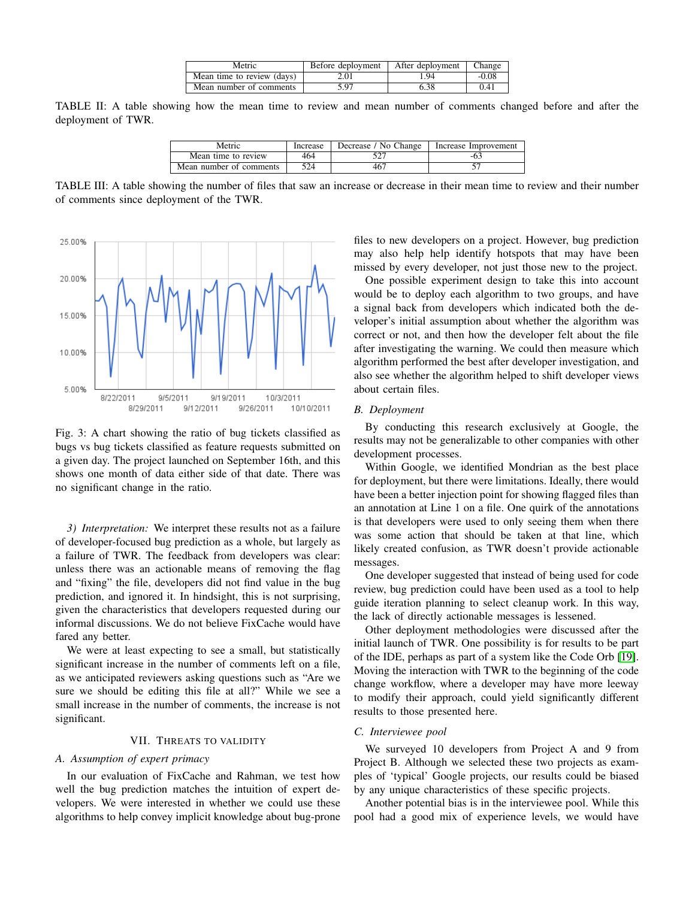| Metric                     | Before deployment | After deployment | Change  |
|----------------------------|-------------------|------------------|---------|
| Mean time to review (days) | 2.01              | 1.94             | $-0.08$ |
| Mean number of comments    | 5.97              | 6.38             | 0.41    |

<span id="page-8-1"></span><span id="page-8-0"></span>TABLE II: A table showing how the mean time to review and mean number of comments changed before and after the deployment of TWR.

| Metric                  | Increase | Decrease / No Change | Increase Improvement |
|-------------------------|----------|----------------------|----------------------|
| Mean time to review     | 464      |                      | -0.                  |
| Mean number of comments | 524      | 46                   |                      |

TABLE III: A table showing the number of files that saw an increase or decrease in their mean time to review and their number of comments since deployment of the TWR.

<span id="page-8-2"></span>

Fig. 3: A chart showing the ratio of bug tickets classified as bugs vs bug tickets classified as feature requests submitted on a given day. The project launched on September 16th, and this shows one month of data either side of that date. There was no significant change in the ratio.

*3) Interpretation:* We interpret these results not as a failure of developer-focused bug prediction as a whole, but largely as a failure of TWR. The feedback from developers was clear: unless there was an actionable means of removing the flag and "fixing" the file, developers did not find value in the bug prediction, and ignored it. In hindsight, this is not surprising, given the characteristics that developers requested during our informal discussions. We do not believe FixCache would have fared any better.

We were at least expecting to see a small, but statistically significant increase in the number of comments left on a file, as we anticipated reviewers asking questions such as "Are we sure we should be editing this file at all?" While we see a small increase in the number of comments, the increase is not significant.

# VII. THREATS TO VALIDITY

### *A. Assumption of expert primacy*

In our evaluation of FixCache and Rahman, we test how well the bug prediction matches the intuition of expert developers. We were interested in whether we could use these algorithms to help convey implicit knowledge about bug-prone files to new developers on a project. However, bug prediction may also help help identify hotspots that may have been missed by every developer, not just those new to the project.

One possible experiment design to take this into account would be to deploy each algorithm to two groups, and have a signal back from developers which indicated both the developer's initial assumption about whether the algorithm was correct or not, and then how the developer felt about the file after investigating the warning. We could then measure which algorithm performed the best after developer investigation, and also see whether the algorithm helped to shift developer views about certain files.

## *B. Deployment*

By conducting this research exclusively at Google, the results may not be generalizable to other companies with other development processes.

Within Google, we identified Mondrian as the best place for deployment, but there were limitations. Ideally, there would have been a better injection point for showing flagged files than an annotation at Line 1 on a file. One quirk of the annotations is that developers were used to only seeing them when there was some action that should be taken at that line, which likely created confusion, as TWR doesn't provide actionable messages.

One developer suggested that instead of being used for code review, bug prediction could have been used as a tool to help guide iteration planning to select cleanup work. In this way, the lack of directly actionable messages is lessened.

Other deployment methodologies were discussed after the initial launch of TWR. One possibility is for results to be part of the IDE, perhaps as part of a system like the Code Orb [\[19\]](#page-9-18). Moving the interaction with TWR to the beginning of the code change workflow, where a developer may have more leeway to modify their approach, could yield significantly different results to those presented here.

#### *C. Interviewee pool*

We surveyed 10 developers from Project A and 9 from Project B. Although we selected these two projects as examples of 'typical' Google projects, our results could be biased by any unique characteristics of these specific projects.

Another potential bias is in the interviewee pool. While this pool had a good mix of experience levels, we would have